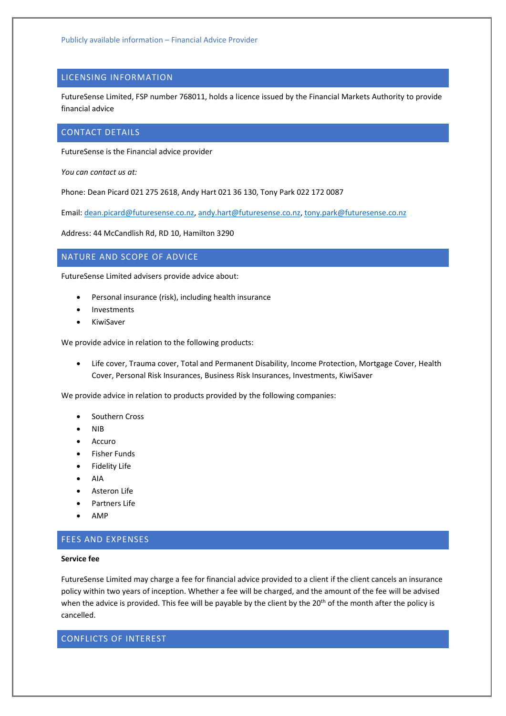# LICENSING INFORMATION

FutureSense Limited, FSP number 768011, holds a licence issued by the Financial Markets Authority to provide financial advice

### CONTACT DETAILS

FutureSense is the Financial advice provider

*You can contact us at:*

Phone: Dean Picard 021 275 2618, Andy Hart 021 36 130, Tony Park 022 172 0087

Email: [dean.picard@futuresense.co.nz,](mailto:dean.picard@futuresense.co.nz) [andy.hart@futuresense.co.nz,](mailto:andy.hart@futuresense.co.nz) [tony.park@futuresense.co.nz](mailto:tony.park@futuresense.co.nz)

Address: 44 McCandlish Rd, RD 10, Hamilton 3290

# NATURE AND SCOPE OF ADVICE

FutureSense Limited advisers provide advice about:

- Personal insurance (risk), including health insurance
- Investments
- KiwiSaver

We provide advice in relation to the following products:

• Life cover, Trauma cover, Total and Permanent Disability, Income Protection, Mortgage Cover, Health Cover, Personal Risk Insurances, Business Risk Insurances, Investments, KiwiSaver

We provide advice in relation to products provided by the following companies:

- Southern Cross
- NIB
- **Accuro**
- Fisher Funds
- Fidelity Life
- AIA
- Asteron Life
- Partners Life
- AMP

## FEES AND EXPENSES

#### **Service fee**

FutureSense Limited may charge a fee for financial advice provided to a client if the client cancels an insurance policy within two years of inception. Whether a fee will be charged, and the amount of the fee will be advised when the advice is provided. This fee will be payable by the client by the 20<sup>th</sup> of the month after the policy is cancelled.

CONFLICTS OF INTEREST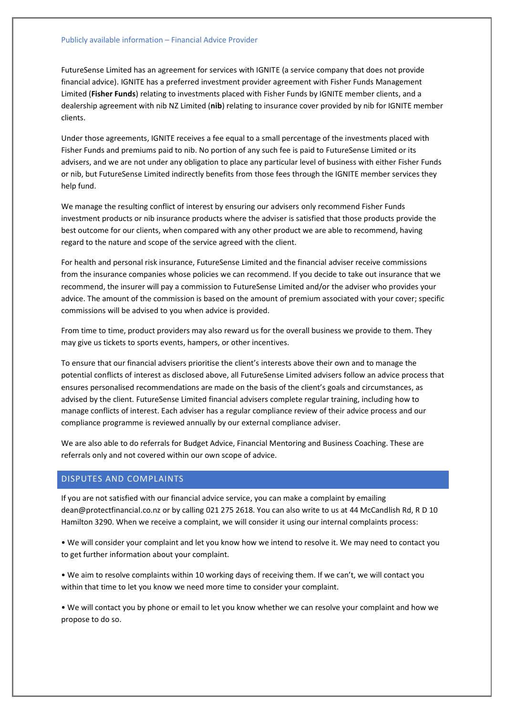### Publicly available information – Financial Advice Provider

FutureSense Limited has an agreement for services with IGNITE (a service company that does not provide financial advice). IGNITE has a preferred investment provider agreement with Fisher Funds Management Limited (**Fisher Funds**) relating to investments placed with Fisher Funds by IGNITE member clients, and a dealership agreement with nib NZ Limited (**nib**) relating to insurance cover provided by nib for IGNITE member clients.

Under those agreements, IGNITE receives a fee equal to a small percentage of the investments placed with Fisher Funds and premiums paid to nib. No portion of any such fee is paid to FutureSense Limited or its advisers, and we are not under any obligation to place any particular level of business with either Fisher Funds or nib, but FutureSense Limited indirectly benefits from those fees through the IGNITE member services they help fund.

We manage the resulting conflict of interest by ensuring our advisers only recommend Fisher Funds investment products or nib insurance products where the adviser is satisfied that those products provide the best outcome for our clients, when compared with any other product we are able to recommend, having regard to the nature and scope of the service agreed with the client.

For health and personal risk insurance, FutureSense Limited and the financial adviser receive commissions from the insurance companies whose policies we can recommend. If you decide to take out insurance that we recommend, the insurer will pay a commission to FutureSense Limited and/or the adviser who provides your advice. The amount of the commission is based on the amount of premium associated with your cover; specific commissions will be advised to you when advice is provided.

From time to time, product providers may also reward us for the overall business we provide to them. They may give us tickets to sports events, hampers, or other incentives.

To ensure that our financial advisers prioritise the client's interests above their own and to manage the potential conflicts of interest as disclosed above, all FutureSense Limited advisers follow an advice process that ensures personalised recommendations are made on the basis of the client's goals and circumstances, as advised by the client. FutureSense Limited financial advisers complete regular training, including how to manage conflicts of interest. Each adviser has a regular compliance review of their advice process and our compliance programme is reviewed annually by our external compliance adviser.

We are also able to do referrals for Budget Advice, Financial Mentoring and Business Coaching. These are referrals only and not covered within our own scope of advice.

## DISPUTES AND COMPLAINTS

If you are not satisfied with our financial advice service, you can make a complaint by emailing dean@protectfinancial.co.nz or by calling 021 275 2618. You can also write to us at 44 McCandlish Rd, R D 10 Hamilton 3290. When we receive a complaint, we will consider it using our internal complaints process:

• We will consider your complaint and let you know how we intend to resolve it. We may need to contact you to get further information about your complaint.

• We aim to resolve complaints within 10 working days of receiving them. If we can't, we will contact you within that time to let you know we need more time to consider your complaint.

• We will contact you by phone or email to let you know whether we can resolve your complaint and how we propose to do so.